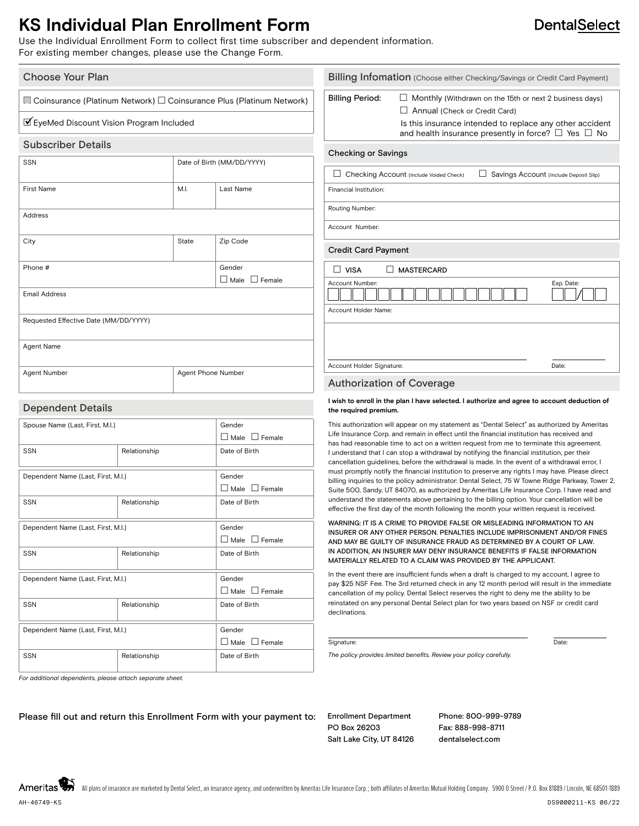## **KS Individual Plan Enrollment Form**

Use the Individual Enrollment Form to collect first time subscriber and dependent information. For existing member changes, please use the Change Form.

| <b>Choose Your Plan</b>                                                                                                       |              |                            |                                                                                                       | <b>Billing Infomation</b> (Choose either Checking/Savings or Credit Card Payment)           |                                                                                                                                                                                                                                     |  |            |
|-------------------------------------------------------------------------------------------------------------------------------|--------------|----------------------------|-------------------------------------------------------------------------------------------------------|---------------------------------------------------------------------------------------------|-------------------------------------------------------------------------------------------------------------------------------------------------------------------------------------------------------------------------------------|--|------------|
| $\Box$ Coinsurance (Platinum Network) $\Box$ Coinsurance Plus (Platinum Network)<br>■ EyeMed Discount Vision Program Included |              |                            |                                                                                                       | <b>Billing Period:</b>                                                                      | $\Box$ Monthly (Withdrawn on the 15th or next 2 business days)<br>$\Box$ Annual (Check or Credit Card)<br>Is this insurance intended to replace any other accident<br>and health insurance presently in force? $\Box$ Yes $\Box$ No |  |            |
|                                                                                                                               |              |                            |                                                                                                       |                                                                                             |                                                                                                                                                                                                                                     |  |            |
| SSN                                                                                                                           |              | Date of Birth (MM/DD/YYYY) |                                                                                                       |                                                                                             |                                                                                                                                                                                                                                     |  |            |
|                                                                                                                               |              |                            |                                                                                                       | Checking Account (Include Voided Check)<br>Savings Account (Include Deposit Slip)           |                                                                                                                                                                                                                                     |  |            |
| <b>First Name</b>                                                                                                             | M.I.         |                            | Last Name                                                                                             | Financial Institution:                                                                      |                                                                                                                                                                                                                                     |  |            |
|                                                                                                                               |              |                            |                                                                                                       | Routing Number:                                                                             |                                                                                                                                                                                                                                     |  |            |
| Address                                                                                                                       |              |                            |                                                                                                       |                                                                                             |                                                                                                                                                                                                                                     |  |            |
|                                                                                                                               |              |                            |                                                                                                       | Account Number:                                                                             |                                                                                                                                                                                                                                     |  |            |
| City                                                                                                                          | State        |                            | Zip Code                                                                                              | <b>Credit Card Payment</b>                                                                  |                                                                                                                                                                                                                                     |  |            |
| Phone #<br>Gender<br><b>Email Address</b>                                                                                     |              |                            |                                                                                                       | MASTERCARD<br>$\Box$ VISA                                                                   |                                                                                                                                                                                                                                     |  |            |
|                                                                                                                               |              |                            | $\Box$ Male $\Box$ Female                                                                             | Account Number:                                                                             |                                                                                                                                                                                                                                     |  | Exp. Date: |
|                                                                                                                               |              |                            |                                                                                                       | Account Holder Name:                                                                        |                                                                                                                                                                                                                                     |  |            |
| Requested Effective Date (MM/DD/YYYY)                                                                                         |              |                            |                                                                                                       |                                                                                             |                                                                                                                                                                                                                                     |  |            |
|                                                                                                                               |              |                            |                                                                                                       |                                                                                             |                                                                                                                                                                                                                                     |  |            |
| Agent Name                                                                                                                    |              |                            |                                                                                                       |                                                                                             |                                                                                                                                                                                                                                     |  |            |
|                                                                                                                               |              |                            |                                                                                                       | Account Holder Signature:                                                                   |                                                                                                                                                                                                                                     |  | Date:      |
| Agent Phone Number<br>Agent Number                                                                                            |              |                            |                                                                                                       |                                                                                             | <b>Authorization of Coverage</b>                                                                                                                                                                                                    |  |            |
| <b>Dependent Details</b>                                                                                                      |              |                            |                                                                                                       | the required premium.                                                                       | I wish to enroll in the plan I have selected. I authorize and agree to account deduction of                                                                                                                                         |  |            |
| Spouse Name (Last, First, M.I.)                                                                                               |              |                            | This authorization will appear on my statement as "Dental Select" as authorized by Ameritas<br>Gender |                                                                                             |                                                                                                                                                                                                                                     |  |            |
|                                                                                                                               |              |                            | $\Box$ Male $\Box$ Female                                                                             |                                                                                             | Life Insurance Corp. and remain in effect until the financial institution has received and<br>has had reasonable time to act on a written request from me to terminate this agreement.                                              |  |            |
| <b>SSN</b>                                                                                                                    | Relationship |                            | Date of Birth                                                                                         | I understand that I can stop a withdrawal by notifying the financial institution, per their |                                                                                                                                                                                                                                     |  |            |

 $\square$  Male  $\square$  Female

 $\Box$  Male  $\Box$  Female

 $\Box$  Male  $\Box$  Female

 $\square$  Male  $\square$  Female

has had reasonable time to act on a written request from me to terminate this agreement. I understand that I can stop a withdrawal by notifying the financial institution, per their cancellation guidelines, before the withdrawal is made. In the event of a withdrawal error, I must promptly notify the financial institution to preserve any rights I may have. Please direct billing inquiries to the policy administrator: Dental Select, 75 W Towne Ridge Parkway, Tower 2, Suite 500, Sandy, UT 84070, as authorized by Ameritas Life Insurance Corp. I have read and understand the statements above pertaining to the billing option. Your cancellation will be effective the first day of the month following the month your written request is received.

#### WARNING: IT IS A CRIME TO PROVIDE FALSE OR MISLEADING INFORMATION TO AN INSURER OR ANY OTHER PERSON. PENALTIES INCLUDE IMPRISONMENT AND/OR FINES AND MAY BE GUILTY OF INSURANCE FRAUD AS DETERMINED BY A COURT OF LAW. IN ADDITION, AN INSURER MAY DENY INSURANCE BENEFITS IF FALSE INFORMATION MATERIALLY RELATED TO A CLAIM WAS PROVIDED BY THE APPLICANT.

In the event there are insufficient funds when a draft is charged to my account, I agree to pay \$25 NSF Fee. The 3rd returned check in any 12 month period will result in the immediate cancellation of my policy. Dental Select reserves the right to deny me the ability to be reinstated on any personal Dental Select plan for two years based on NSF or credit card declinations.

#### Signature: Date:

*The policy provides limited benefits. Review your policy carefully.*

*For additional dependents, please attach separate sheet.*

Dependent Name (Last, First, M.I.) Gender

Dependent Name (Last, First, M.I.) Gender

Dependent Name (Last, First, M.I.) Cender

Dependent Name (Last, First, M.I.) Gender

SSN Relationship Relationship Date of Birth

SSN Relationship Date of Birth

SSN Relationship Date of Birth

SSN Relationship Date of Birth

Please fill out and return this Enrollment Form with your payment to: Enrollment Department

PO Box 26203 Salt Lake City, UT 84126 Phone: 800-999-9789 Fax: 888-998-8711 dentalselect.com

Ameritas

### **DentalSelect**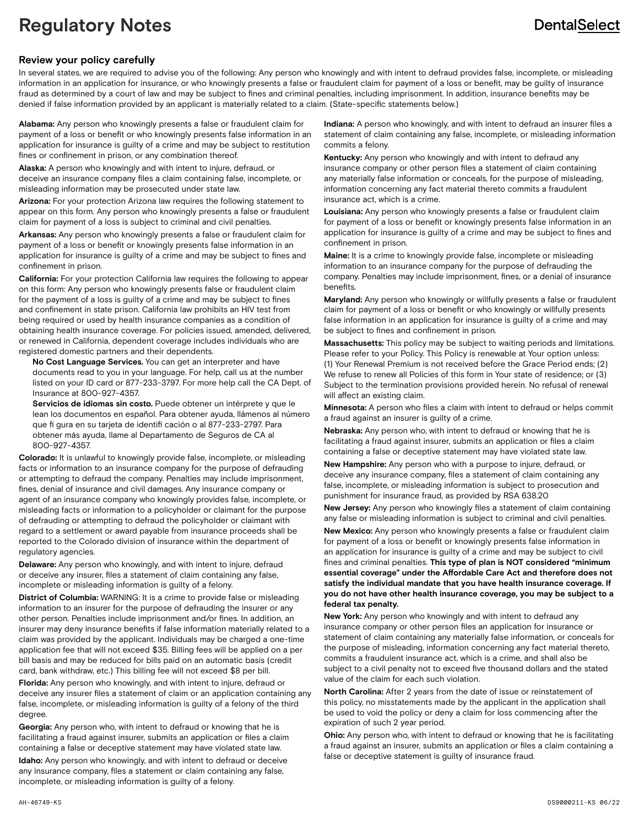# **Regulatory Notes**

# **DentalSelect**

### **Review your policy carefully**

In several states, we are required to advise you of the following: Any person who knowingly and with intent to defraud provides false, incomplete, or misleading information in an application for insurance, or who knowingly presents a false or fraudulent claim for payment of a loss or benefit, may be guilty of insurance fraud as determined by a court of law and may be subject to fines and criminal penalties, including imprisonment. In addition, insurance benefits may be denied if false information provided by an applicant is materially related to a claim. (State-specific statements below.)

**Alabama:** Any person who knowingly presents a false or fraudulent claim for payment of a loss or benefit or who knowingly presents false information in an application for insurance is guilty of a crime and may be subject to restitution fines or confinement in prison, or any combination thereof.

**Alaska:** A person who knowingly and with intent to injure, defraud, or deceive an insurance company files a claim containing false, incomplete, or misleading information may be prosecuted under state law.

**Arizona:** For your protection Arizona law requires the following statement to appear on this form. Any person who knowingly presents a false or fraudulent claim for payment of a loss is subject to criminal and civil penalties.

**Arkansas:** Any person who knowingly presents a false or fraudulent claim for payment of a loss or benefit or knowingly presents false information in an application for insurance is guilty of a crime and may be subject to fines and confinement in prison.

**California:** For your protection California law requires the following to appear on this form: Any person who knowingly presents false or fraudulent claim for the payment of a loss is guilty of a crime and may be subject to fines and confinement in state prison. California law prohibits an HIV test from being required or used by health insurance companies as a condition of obtaining health insurance coverage. For policies issued, amended, delivered, or renewed in California, dependent coverage includes individuals who are registered domestic partners and their dependents.

 **No Cost Language Services.** You can get an interpreter and have documents read to you in your language. For help, call us at the number listed on your ID card or 877-233-3797. For more help call the CA Dept. of Insurance at 800-927-4357.

 **Servicios de idiomas sin costo.** Puede obtener un intérprete y que le lean los documentos en español. Para obtener ayuda, llámenos al número que fi gura en su tarjeta de identifi cación o al 877-233-2797. Para obtener más ayuda, llame al Departamento de Seguros de CA al 800-927-4357.

**Colorado:** It is unlawful to knowingly provide false, incomplete, or misleading facts or information to an insurance company for the purpose of defrauding or attempting to defraud the company. Penalties may include imprisonment, fines, denial of insurance and civil damages. Any insurance company or agent of an insurance company who knowingly provides false, incomplete, or misleading facts or information to a policyholder or claimant for the purpose of defrauding or attempting to defraud the policyholder or claimant with regard to a settlement or award payable from insurance proceeds shall be reported to the Colorado division of insurance within the department of regulatory agencies.

**Delaware:** Any person who knowingly, and with intent to injure, defraud or deceive any insurer, files a statement of claim containing any false, incomplete or misleading information is guilty of a felony.

**District of Columbia:** WARNING: It is a crime to provide false or misleading information to an insurer for the purpose of defrauding the insurer or any other person. Penalties include imprisonment and/or fines. In addition, an insurer may deny insurance benefits if false information materially related to a claim was provided by the applicant. Individuals may be charged a one-time application fee that will not exceed \$35. Billing fees will be applied on a per bill basis and may be reduced for bills paid on an automatic basis (credit card, bank withdraw, etc.) This billing fee will not exceed \$8 per bill.

**Florida:** Any person who knowingly, and with intent to injure, defraud or deceive any insurer files a statement of claim or an application containing any false, incomplete, or misleading information is guilty of a felony of the third degree.

**Georgia:** Any person who, with intent to defraud or knowing that he is facilitating a fraud against insurer, submits an application or files a claim containing a false or deceptive statement may have violated state law.

**Idaho:** Any person who knowingly, and with intent to defraud or deceive any insurance company, files a statement or claim containing any false, incomplete, or misleading information is guilty of a felony.

**Indiana:** A person who knowingly, and with intent to defraud an insurer files a statement of claim containing any false, incomplete, or misleading information commits a felony.

**Kentucky:** Any person who knowingly and with intent to defraud any insurance company or other person files a statement of claim containing any materially false information or conceals, for the purpose of misleading, information concerning any fact material thereto commits a fraudulent insurance act, which is a crime.

**Louisiana:** Any person who knowingly presents a false or fraudulent claim for payment of a loss or benefit or knowingly presents false information in an application for insurance is guilty of a crime and may be subject to fines and confinement in prison.

**Maine:** It is a crime to knowingly provide false, incomplete or misleading information to an insurance company for the purpose of defrauding the company. Penalties may include imprisonment, fines, or a denial of insurance benefits.

**Maryland:** Any person who knowingly or willfully presents a false or fraudulent claim for payment of a loss or benefit or who knowingly or willfully presents false information in an application for insurance is guilty of a crime and may be subject to fines and confinement in prison.

**Massachusetts:** This policy may be subject to waiting periods and limitations. Please refer to your Policy. This Policy is renewable at Your option unless: (1) Your Renewal Premium is not received before the Grace Period ends; (2) We refuse to renew all Policies of this form in Your state of residence; or (3) Subject to the termination provisions provided herein. No refusal of renewal will affect an existing claim.

**Minnesota:** A person who files a claim with intent to defraud or helps commit a fraud against an insurer is guilty of a crime.

**Nebraska:** Any person who, with intent to defraud or knowing that he is facilitating a fraud against insurer, submits an application or files a claim containing a false or deceptive statement may have violated state law.

**New Hampshire:** Any person who with a purpose to injure, defraud, or deceive any insurance company, files a statement of claim containing any false, incomplete, or misleading information is subject to prosecution and punishment for insurance fraud, as provided by RSA 638.20

**New Jersey:** Any person who knowingly files a statement of claim containing any false or misleading information is subject to criminal and civil penalties.

**New Mexico:** Any person who knowingly presents a false or fraudulent claim for payment of a loss or benefit or knowingly presents false information in an application for insurance is guilty of a crime and may be subject to civil fines and criminal penalties. **This type of plan is NOT considered "minimum essential coverage" under the Affordable Care Act and therefore does not satisfy the individual mandate that you have health insurance coverage. If you do not have other health insurance coverage, you may be subject to a federal tax penalty.**

**New York:** Any person who knowingly and with intent to defraud any insurance company or other person files an application for insurance or statement of claim containing any materially false information, or conceals for the purpose of misleading, information concerning any fact material thereto, commits a fraudulent insurance act, which is a crime, and shall also be subject to a civil penalty not to exceed five thousand dollars and the stated value of the claim for each such violation.

**North Carolina:** After 2 years from the date of issue or reinstatement of this policy, no misstatements made by the applicant in the application shall be used to void the policy or deny a claim for loss commencing after the expiration of such 2 year period.

**Ohio:** Any person who, with intent to defraud or knowing that he is facilitating a fraud against an insurer, submits an application or files a claim containing a false or deceptive statement is guilty of insurance fraud.